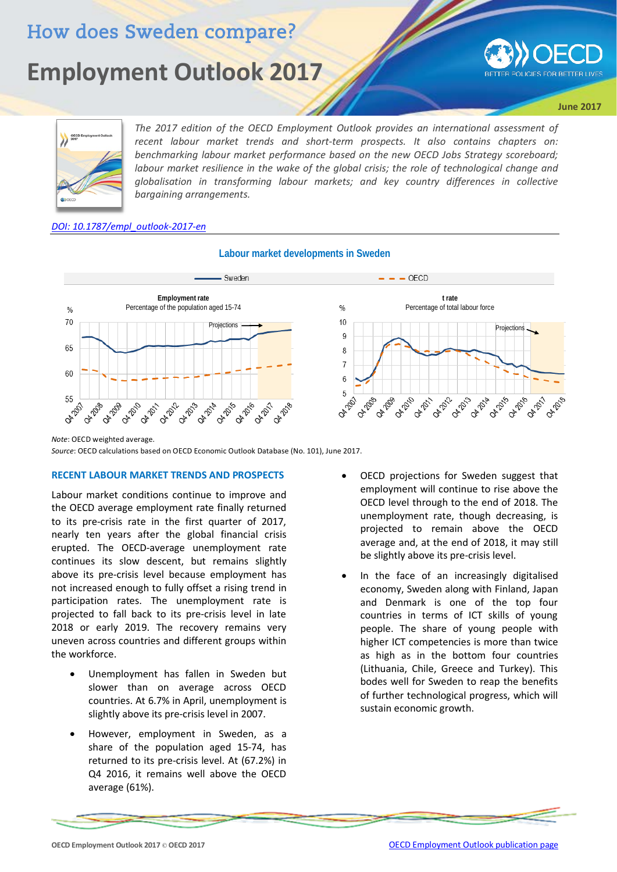# How does Sweden compare?

# **Employment Outlook 2017**



**June 2017**



The 2017 edition of the OECD Employment Outlook provides an international assessment of *recent labour market trends and short-term prospects. It also contains chapters on: benchmarking labour market performance based on the new OECD Jobs Strategy scoreboard; labour market resilience in the wake of the global crisis; the role of technological change and globalisation in transforming labour markets; and key country differences in collective bargaining arrangements.*

#### *[DOI: 10.1787/empl\\_outlook-2017-en](http://dx.doi.org/10.1787/empl_outlook-2017-en)*



# **Labour market developments in Sweden**

*Note*: OECD weighted average.

*Source*: OECD calculations based on OECD Economic Outlook Database (No. 101), June 2017.

## **RECENT LABOUR MARKET TRENDS AND PROSPECTS**

Labour market conditions continue to improve and the OECD average employment rate finally returned to its pre-crisis rate in the first quarter of 2017, nearly ten years after the global financial crisis erupted. The OECD-average unemployment rate continues its slow descent, but remains slightly above its pre-crisis level because employment has not increased enough to fully offset a rising trend in participation rates. The unemployment rate is projected to fall back to its pre-crisis level in late 2018 or early 2019. The recovery remains very uneven across countries and different groups within the workforce.

- Unemployment has fallen in Sweden but slower than on average across OECD countries. At 6.7% in April, unemployment is slightly above its pre-crisis level in 2007.
- However, employment in Sweden, as a share of the population aged 15-74, has returned to its pre-crisis level. At (67.2%) in Q4 2016, it remains well above the OECD average (61%).
- OECD projections for Sweden suggest that employment will continue to rise above the OECD level through to the end of 2018. The unemployment rate, though decreasing, is projected to remain above the OECD average and, at the end of 2018, it may still be slightly above its pre-crisis level.
- In the face of an increasingly digitalised economy, Sweden along with Finland, Japan and Denmark is one of the top four countries in terms of ICT skills of young people. The share of young people with higher ICT competencies is more than twice as high as in the bottom four countries (Lithuania, Chile, Greece and Turkey). This bodes well for Sweden to reap the benefits of further technological progress, which will sustain economic growth.